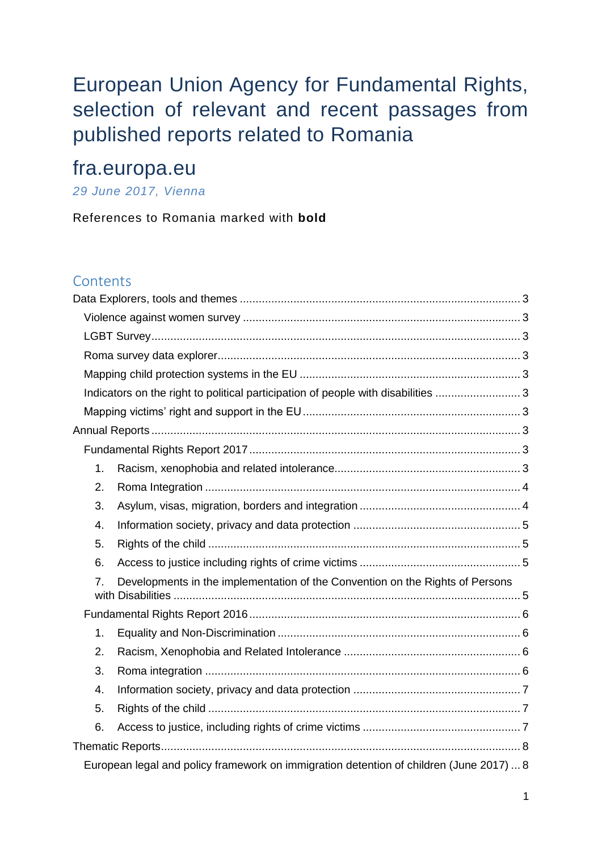# European Union Agency for Fundamental Rights, selection of relevant and recent passages from published reports related to Romania

# fra.europa.eu

## *29 June 2017, Vienna*

References to Romania marked with **bold**

#### **Contents**

|                                                                                         | Indicators on the right to political participation of people with disabilities  3 |  |  |
|-----------------------------------------------------------------------------------------|-----------------------------------------------------------------------------------|--|--|
|                                                                                         |                                                                                   |  |  |
|                                                                                         |                                                                                   |  |  |
|                                                                                         |                                                                                   |  |  |
| 1.                                                                                      |                                                                                   |  |  |
| 2.                                                                                      |                                                                                   |  |  |
| 3.                                                                                      |                                                                                   |  |  |
| 4.                                                                                      |                                                                                   |  |  |
| 5.                                                                                      |                                                                                   |  |  |
| 6.                                                                                      |                                                                                   |  |  |
| 7.                                                                                      | Developments in the implementation of the Convention on the Rights of Persons     |  |  |
|                                                                                         |                                                                                   |  |  |
| 1.                                                                                      |                                                                                   |  |  |
| 2.                                                                                      |                                                                                   |  |  |
| 3.                                                                                      |                                                                                   |  |  |
| 4.                                                                                      |                                                                                   |  |  |
| 5.                                                                                      |                                                                                   |  |  |
| 6.                                                                                      |                                                                                   |  |  |
|                                                                                         |                                                                                   |  |  |
| European legal and policy framework on immigration detention of children (June 2017)  8 |                                                                                   |  |  |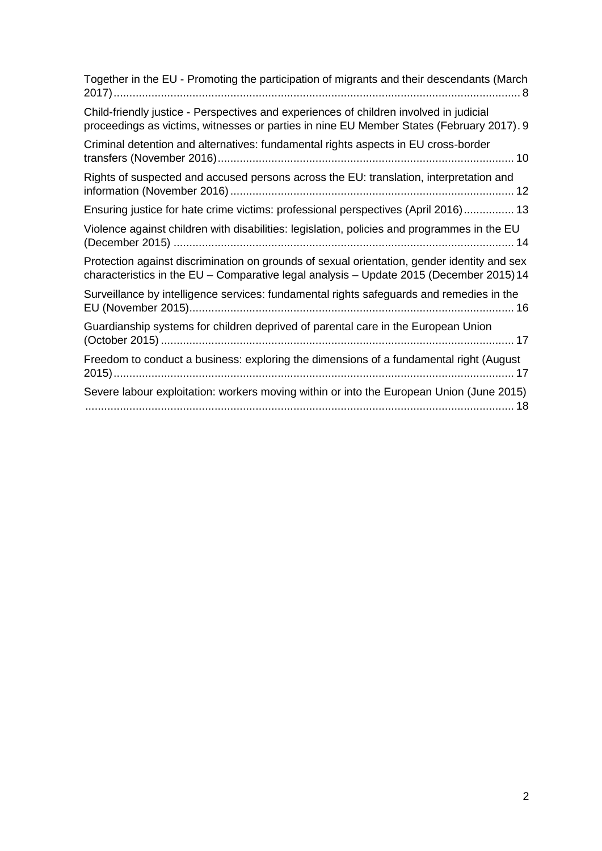| Together in the EU - Promoting the participation of migrants and their descendants (March                                                                                              |
|----------------------------------------------------------------------------------------------------------------------------------------------------------------------------------------|
| Child-friendly justice - Perspectives and experiences of children involved in judicial<br>proceedings as victims, witnesses or parties in nine EU Member States (February 2017). 9     |
| Criminal detention and alternatives: fundamental rights aspects in EU cross-border                                                                                                     |
| Rights of suspected and accused persons across the EU: translation, interpretation and                                                                                                 |
| Ensuring justice for hate crime victims: professional perspectives (April 2016) 13                                                                                                     |
| Violence against children with disabilities: legislation, policies and programmes in the EU                                                                                            |
| Protection against discrimination on grounds of sexual orientation, gender identity and sex<br>characteristics in the EU - Comparative legal analysis - Update 2015 (December 2015) 14 |
| Surveillance by intelligence services: fundamental rights safeguards and remedies in the                                                                                               |
| Guardianship systems for children deprived of parental care in the European Union                                                                                                      |
| Freedom to conduct a business: exploring the dimensions of a fundamental right (August                                                                                                 |
| Severe labour exploitation: workers moving within or into the European Union (June 2015)                                                                                               |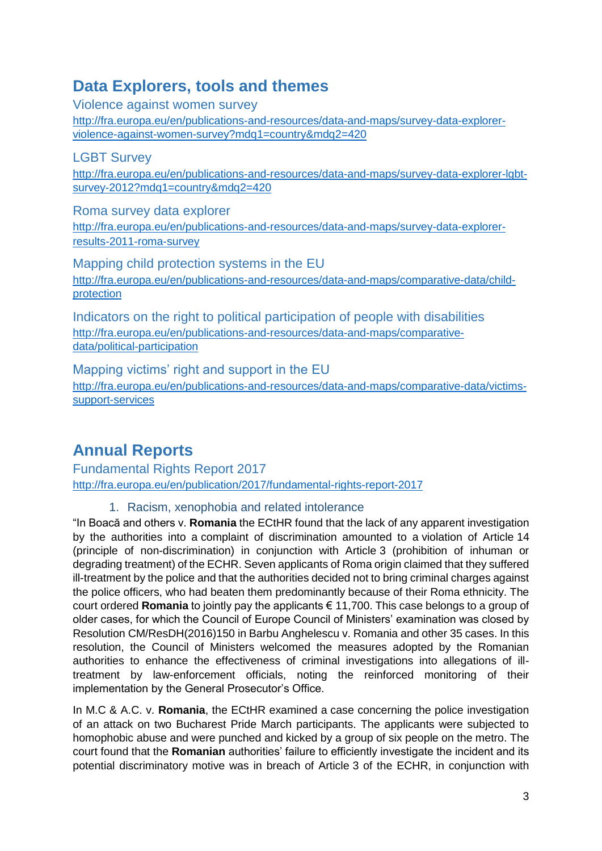## <span id="page-2-0"></span>**Data Explorers, tools and themes**

<span id="page-2-1"></span>Violence against women survey

[http://fra.europa.eu/en/publications-and-resources/data-and-maps/survey-data-explorer](http://fra.europa.eu/en/publications-and-resources/data-and-maps/survey-data-explorer-violence-against-women-survey?mdq1=country&mdq2=420)[violence-against-women-survey?mdq1=country&mdq2=420](http://fra.europa.eu/en/publications-and-resources/data-and-maps/survey-data-explorer-violence-against-women-survey?mdq1=country&mdq2=420)

<span id="page-2-2"></span>LGBT Survey [http://fra.europa.eu/en/publications-and-resources/data-and-maps/survey-data-explorer-lgbt](http://fra.europa.eu/en/publications-and-resources/data-and-maps/survey-data-explorer-lgbt-survey-2012?mdq1=country&mdq2=420)[survey-2012?mdq1=country&mdq2=420](http://fra.europa.eu/en/publications-and-resources/data-and-maps/survey-data-explorer-lgbt-survey-2012?mdq1=country&mdq2=420)

<span id="page-2-3"></span>Roma survey data explorer [http://fra.europa.eu/en/publications-and-resources/data-and-maps/survey-data-explorer](http://fra.europa.eu/en/publications-and-resources/data-and-maps/survey-data-explorer-results-2011-roma-survey)[results-2011-roma-survey](http://fra.europa.eu/en/publications-and-resources/data-and-maps/survey-data-explorer-results-2011-roma-survey)

<span id="page-2-4"></span>Mapping child protection systems in the EU [http://fra.europa.eu/en/publications-and-resources/data-and-maps/comparative-data/child](http://fra.europa.eu/en/publications-and-resources/data-and-maps/comparative-data/child-protection)[protection](http://fra.europa.eu/en/publications-and-resources/data-and-maps/comparative-data/child-protection)

<span id="page-2-5"></span>Indicators on the right to political participation of people with disabilities [http://fra.europa.eu/en/publications-and-resources/data-and-maps/comparative](http://fra.europa.eu/en/publications-and-resources/data-and-maps/comparative-data/political-participation)[data/political-participation](http://fra.europa.eu/en/publications-and-resources/data-and-maps/comparative-data/political-participation)

<span id="page-2-6"></span>Mapping victims' right and support in the EU [http://fra.europa.eu/en/publications-and-resources/data-and-maps/comparative-data/victims](http://fra.europa.eu/en/publications-and-resources/data-and-maps/comparative-data/victims-support-services)[support-services](http://fra.europa.eu/en/publications-and-resources/data-and-maps/comparative-data/victims-support-services)

## <span id="page-2-7"></span>**Annual Reports**

<span id="page-2-8"></span>Fundamental Rights Report 2017 <http://fra.europa.eu/en/publication/2017/fundamental-rights-report-2017>

### 1. Racism, xenophobia and related intolerance

<span id="page-2-9"></span>"In Boacă and others v. **Romania** the ECtHR found that the lack of any apparent investigation by the authorities into a complaint of discrimination amounted to a violation of Article 14 (principle of non-discrimination) in conjunction with Article 3 (prohibition of inhuman or degrading treatment) of the ECHR. Seven applicants of Roma origin claimed that they suffered ill-treatment by the police and that the authorities decided not to bring criminal charges against the police officers, who had beaten them predominantly because of their Roma ethnicity. The court ordered **Romania** to jointly pay the applicants € 11,700. This case belongs to a group of older cases, for which the Council of Europe Council of Ministers' examination was closed by Resolution CM/ResDH(2016)150 in Barbu Anghelescu v. Romania and other 35 cases. In this resolution, the Council of Ministers welcomed the measures adopted by the Romanian authorities to enhance the effectiveness of criminal investigations into allegations of illtreatment by law-enforcement officials, noting the reinforced monitoring of their implementation by the General Prosecutor's Office.

In M.C & A.C. v. **Romania**, the ECtHR examined a case concerning the police investigation of an attack on two Bucharest Pride March participants. The applicants were subjected to homophobic abuse and were punched and kicked by a group of six people on the metro. The court found that the **Romanian** authorities' failure to efficiently investigate the incident and its potential discriminatory motive was in breach of Article 3 of the ECHR, in conjunction with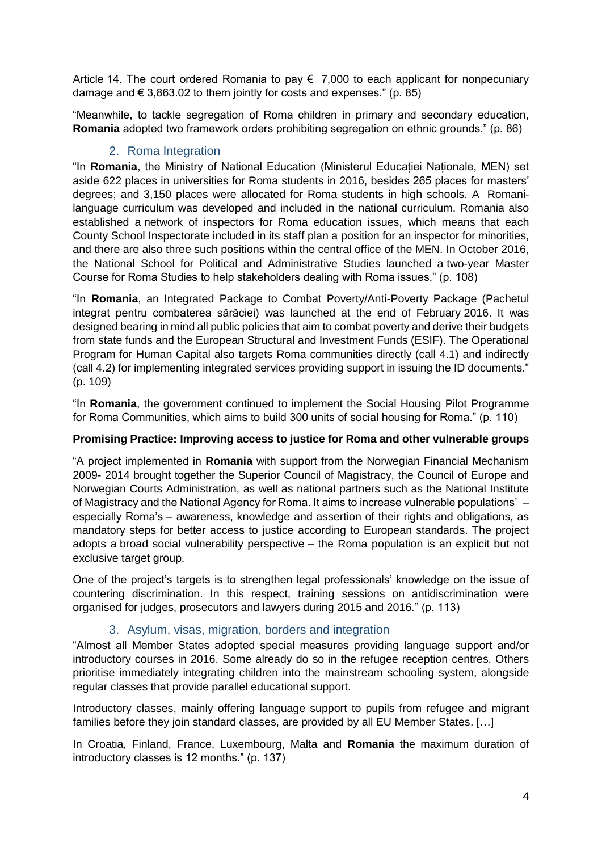Article 14. The court ordered Romania to pay  $\epsilon$  7,000 to each applicant for nonpecuniary damage and  $\epsilon$  3,863.02 to them jointly for costs and expenses." (p. 85)

"Meanwhile, to tackle segregation of Roma children in primary and secondary education, **Romania** adopted two framework orders prohibiting segregation on ethnic grounds." (p. 86)

#### 2. Roma Integration

<span id="page-3-0"></span>"In **Romania**, the Ministry of National Education (Ministerul Educației Naționale, MEN) set aside 622 places in universities for Roma students in 2016, besides 265 places for masters' degrees; and 3,150 places were allocated for Roma students in high schools. A Romanilanguage curriculum was developed and included in the national curriculum. Romania also established a network of inspectors for Roma education issues, which means that each County School Inspectorate included in its staff plan a position for an inspector for minorities, and there are also three such positions within the central office of the MEN. In October 2016, the National School for Political and Administrative Studies launched a two-year Master Course for Roma Studies to help stakeholders dealing with Roma issues." (p. 108)

"In **Romania**, an Integrated Package to Combat Poverty/Anti-Poverty Package (Pachetul integrat pentru combaterea sărăciei) was launched at the end of February 2016. It was designed bearing in mind all public policies that aim to combat poverty and derive their budgets from state funds and the European Structural and Investment Funds (ESIF). The Operational Program for Human Capital also targets Roma communities directly (call 4.1) and indirectly (call 4.2) for implementing integrated services providing support in issuing the ID documents." (p. 109)

"In **Romania**, the government continued to implement the Social Housing Pilot Programme for Roma Communities, which aims to build 300 units of social housing for Roma." (p. 110)

#### **Promising Practice: Improving access to justice for Roma and other vulnerable groups**

"A project implemented in **Romania** with support from the Norwegian Financial Mechanism 2009- 2014 brought together the Superior Council of Magistracy, the Council of Europe and Norwegian Courts Administration, as well as national partners such as the National Institute of Magistracy and the National Agency for Roma. It aims to increase vulnerable populations' – especially Roma's – awareness, knowledge and assertion of their rights and obligations, as mandatory steps for better access to justice according to European standards. The project adopts a broad social vulnerability perspective – the Roma population is an explicit but not exclusive target group.

One of the project's targets is to strengthen legal professionals' knowledge on the issue of countering discrimination. In this respect, training sessions on antidiscrimination were organised for judges, prosecutors and lawyers during 2015 and 2016." (p. 113)

#### 3. Asylum, visas, migration, borders and integration

<span id="page-3-1"></span>"Almost all Member States adopted special measures providing language support and/or introductory courses in 2016. Some already do so in the refugee reception centres. Others prioritise immediately integrating children into the mainstream schooling system, alongside regular classes that provide parallel educational support.

Introductory classes, mainly offering language support to pupils from refugee and migrant families before they join standard classes, are provided by all EU Member States. […]

In Croatia, Finland, France, Luxembourg, Malta and **Romania** the maximum duration of introductory classes is 12 months." (p. 137)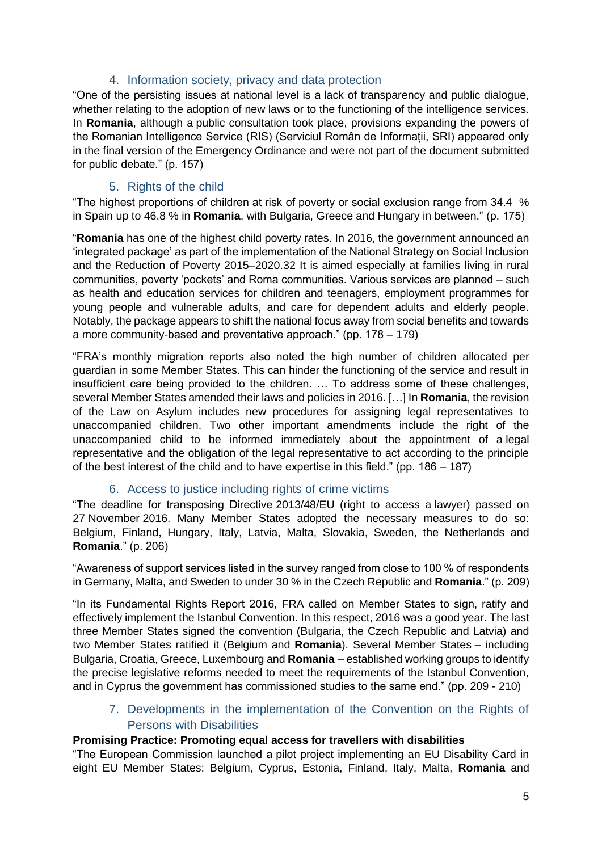#### 4. Information society, privacy and data protection

<span id="page-4-0"></span>"One of the persisting issues at national level is a lack of transparency and public dialogue, whether relating to the adoption of new laws or to the functioning of the intelligence services. In **Romania**, although a public consultation took place, provisions expanding the powers of the Romanian Intelligence Service (RIS) (Serviciul Român de Informații, SRI) appeared only in the final version of the Emergency Ordinance and were not part of the document submitted for public debate." (p. 157)

#### 5. Rights of the child

<span id="page-4-1"></span>"The highest proportions of children at risk of poverty or social exclusion range from 34.4 % in Spain up to 46.8 % in **Romania**, with Bulgaria, Greece and Hungary in between." (p. 175)

"**Romania** has one of the highest child poverty rates. In 2016, the government announced an 'integrated package' as part of the implementation of the National Strategy on Social Inclusion and the Reduction of Poverty 2015–2020.32 It is aimed especially at families living in rural communities, poverty 'pockets' and Roma communities. Various services are planned – such as health and education services for children and teenagers, employment programmes for young people and vulnerable adults, and care for dependent adults and elderly people. Notably, the package appears to shift the national focus away from social benefits and towards a more community-based and preventative approach." (pp. 178 – 179)

"FRA's monthly migration reports also noted the high number of children allocated per guardian in some Member States. This can hinder the functioning of the service and result in insufficient care being provided to the children. … To address some of these challenges, several Member States amended their laws and policies in 2016. […] In **Romania**, the revision of the Law on Asylum includes new procedures for assigning legal representatives to unaccompanied children. Two other important amendments include the right of the unaccompanied child to be informed immediately about the appointment of a legal representative and the obligation of the legal representative to act according to the principle of the best interest of the child and to have expertise in this field." (pp. 186 – 187)

#### 6. Access to justice including rights of crime victims

<span id="page-4-2"></span>"The deadline for transposing Directive 2013/48/EU (right to access a lawyer) passed on 27 November 2016. Many Member States adopted the necessary measures to do so: Belgium, Finland, Hungary, Italy, Latvia, Malta, Slovakia, Sweden, the Netherlands and **Romania**." (p. 206)

"Awareness of support services listed in the survey ranged from close to 100 % of respondents in Germany, Malta, and Sweden to under 30 % in the Czech Republic and **Romania**." (p. 209)

"In its Fundamental Rights Report 2016, FRA called on Member States to sign, ratify and effectively implement the Istanbul Convention. In this respect, 2016 was a good year. The last three Member States signed the convention (Bulgaria, the Czech Republic and Latvia) and two Member States ratified it (Belgium and **Romania**). Several Member States – including Bulgaria, Croatia, Greece, Luxembourg and **Romania** – established working groups to identify the precise legislative reforms needed to meet the requirements of the Istanbul Convention, and in Cyprus the government has commissioned studies to the same end." (pp. 209 - 210)

7. Developments in the implementation of the Convention on the Rights of Persons with Disabilities

#### <span id="page-4-3"></span>**Promising Practice: Promoting equal access for travellers with disabilities**

"The European Commission launched a pilot project implementing an EU Disability Card in eight EU Member States: Belgium, Cyprus, Estonia, Finland, Italy, Malta, **Romania** and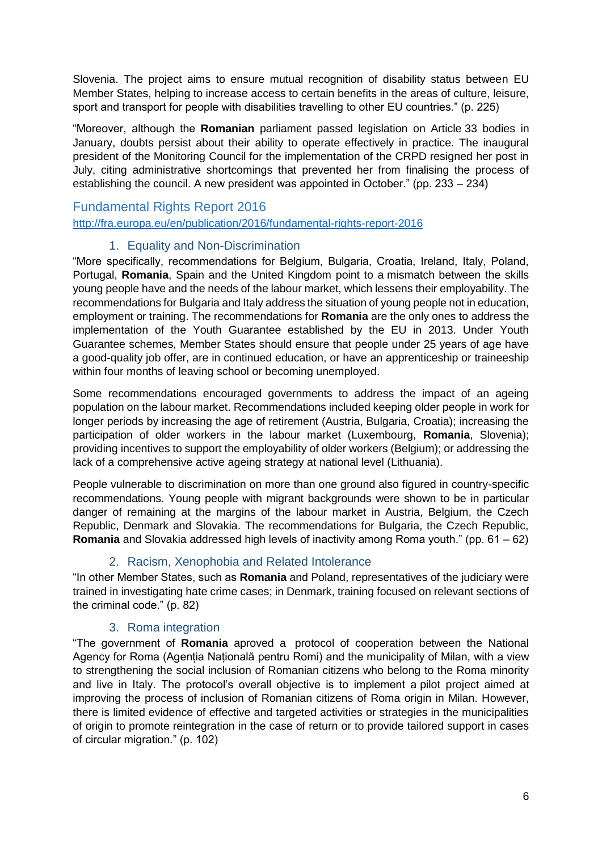Slovenia. The project aims to ensure mutual recognition of disability status between EU Member States, helping to increase access to certain benefits in the areas of culture, leisure, sport and transport for people with disabilities travelling to other EU countries." (p. 225)

"Moreover, although the **Romanian** parliament passed legislation on Article 33 bodies in January, doubts persist about their ability to operate effectively in practice. The inaugural president of the Monitoring Council for the implementation of the CRPD resigned her post in July, citing administrative shortcomings that prevented her from finalising the process of establishing the council. A new president was appointed in October." (pp. 233 – 234)

#### <span id="page-5-0"></span>Fundamental Rights Report 2016 <http://fra.europa.eu/en/publication/2016/fundamental-rights-report-2016>

#### 1. Equality and Non-Discrimination

<span id="page-5-1"></span>"More specifically, recommendations for Belgium, Bulgaria, Croatia, Ireland, Italy, Poland, Portugal, **Romania**, Spain and the United Kingdom point to a mismatch between the skills young people have and the needs of the labour market, which lessens their employability. The recommendations for Bulgaria and Italy address the situation of young people not in education, employment or training. The recommendations for **Romania** are the only ones to address the implementation of the Youth Guarantee established by the EU in 2013. Under Youth Guarantee schemes, Member States should ensure that people under 25 years of age have a good-quality job offer, are in continued education, or have an apprenticeship or traineeship within four months of leaving school or becoming unemployed.

Some recommendations encouraged governments to address the impact of an ageing population on the labour market. Recommendations included keeping older people in work for longer periods by increasing the age of retirement (Austria, Bulgaria, Croatia); increasing the participation of older workers in the labour market (Luxembourg, **Romania**, Slovenia); providing incentives to support the employability of older workers (Belgium); or addressing the lack of a comprehensive active ageing strategy at national level (Lithuania).

People vulnerable to discrimination on more than one ground also figured in country-specific recommendations. Young people with migrant backgrounds were shown to be in particular danger of remaining at the margins of the labour market in Austria, Belgium, the Czech Republic, Denmark and Slovakia. The recommendations for Bulgaria, the Czech Republic, **Romania** and Slovakia addressed high levels of inactivity among Roma youth." (pp. 61 – 62)

### 2. Racism, Xenophobia and Related Intolerance

<span id="page-5-2"></span>"In other Member States, such as **Romania** and Poland, representatives of the judiciary were trained in investigating hate crime cases; in Denmark, training focused on relevant sections of the criminal code." (p. 82)

#### 3. Roma integration

<span id="page-5-3"></span>"The government of **Romania** aproved a protocol of cooperation between the National Agency for Roma (Agenția Națională pentru Romi) and the municipality of Milan, with a view to strengthening the social inclusion of Romanian citizens who belong to the Roma minority and live in Italy. The protocol's overall objective is to implement a pilot project aimed at improving the process of inclusion of Romanian citizens of Roma origin in Milan. However, there is limited evidence of effective and targeted activities or strategies in the municipalities of origin to promote reintegration in the case of return or to provide tailored support in cases of circular migration." (p. 102)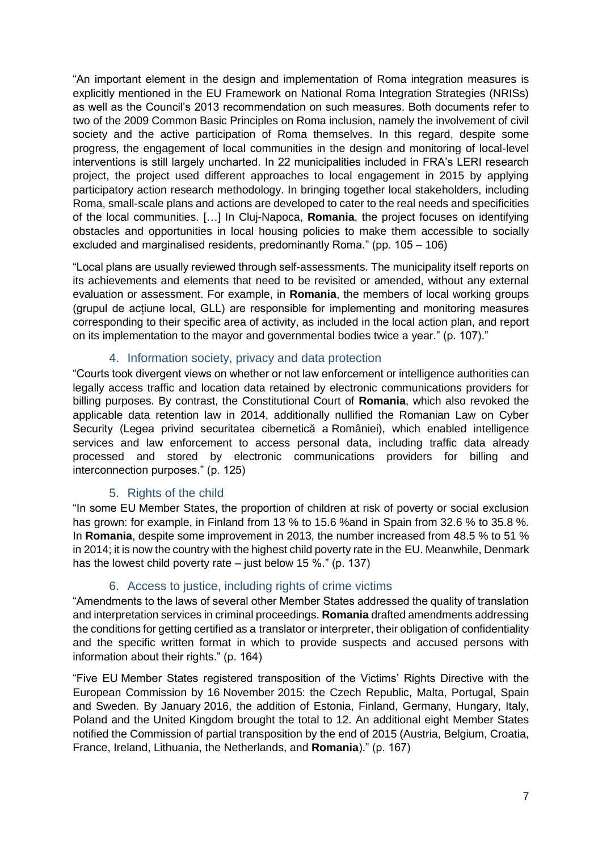"An important element in the design and implementation of Roma integration measures is explicitly mentioned in the EU Framework on National Roma Integration Strategies (NRISs) as well as the Council's 2013 recommendation on such measures. Both documents refer to two of the 2009 Common Basic Principles on Roma inclusion, namely the involvement of civil society and the active participation of Roma themselves. In this regard, despite some progress, the engagement of local communities in the design and monitoring of local-level interventions is still largely uncharted. In 22 municipalities included in FRA's LERI research project, the project used different approaches to local engagement in 2015 by applying participatory action research methodology. In bringing together local stakeholders, including Roma, small-scale plans and actions are developed to cater to the real needs and specificities of the local communities. […] In Cluj-Napoca, **Romania**, the project focuses on identifying obstacles and opportunities in local housing policies to make them accessible to socially excluded and marginalised residents, predominantly Roma." (pp. 105 – 106)

"Local plans are usually reviewed through self-assessments. The municipality itself reports on its achievements and elements that need to be revisited or amended, without any external evaluation or assessment. For example, in **Romania**, the members of local working groups (grupul de acțiune local, GLL) are responsible for implementing and monitoring measures corresponding to their specific area of activity, as included in the local action plan, and report on its implementation to the mayor and governmental bodies twice a year." (p. 107)."

#### 4. Information society, privacy and data protection

<span id="page-6-0"></span>"Courts took divergent views on whether or not law enforcement or intelligence authorities can legally access traffic and location data retained by electronic communications providers for billing purposes. By contrast, the Constitutional Court of **Romania**, which also revoked the applicable data retention law in 2014, additionally nullified the Romanian Law on Cyber Security (Legea privind securitatea cibernetică a României), which enabled intelligence services and law enforcement to access personal data, including traffic data already processed and stored by electronic communications providers for billing and interconnection purposes." (p. 125)

#### 5. Rights of the child

<span id="page-6-1"></span>"In some EU Member States, the proportion of children at risk of poverty or social exclusion has grown: for example, in Finland from 13 % to 15.6 % and in Spain from 32.6 % to 35.8 %. In **Romania**, despite some improvement in 2013, the number increased from 48.5 % to 51 % in 2014; it is now the country with the highest child poverty rate in the EU. Meanwhile, Denmark has the lowest child poverty rate – just below 15 %." (p. 137)

#### 6. Access to justice, including rights of crime victims

<span id="page-6-2"></span>"Amendments to the laws of several other Member States addressed the quality of translation and interpretation services in criminal proceedings. **Romania** drafted amendments addressing the conditions for getting certified as a translator or interpreter, their obligation of confidentiality and the specific written format in which to provide suspects and accused persons with information about their rights." (p. 164)

"Five EU Member States registered transposition of the Victims' Rights Directive with the European Commission by 16 November 2015: the Czech Republic, Malta, Portugal, Spain and Sweden. By January 2016, the addition of Estonia, Finland, Germany, Hungary, Italy, Poland and the United Kingdom brought the total to 12. An additional eight Member States notified the Commission of partial transposition by the end of 2015 (Austria, Belgium, Croatia, France, Ireland, Lithuania, the Netherlands, and **Romania**)." (p. 167)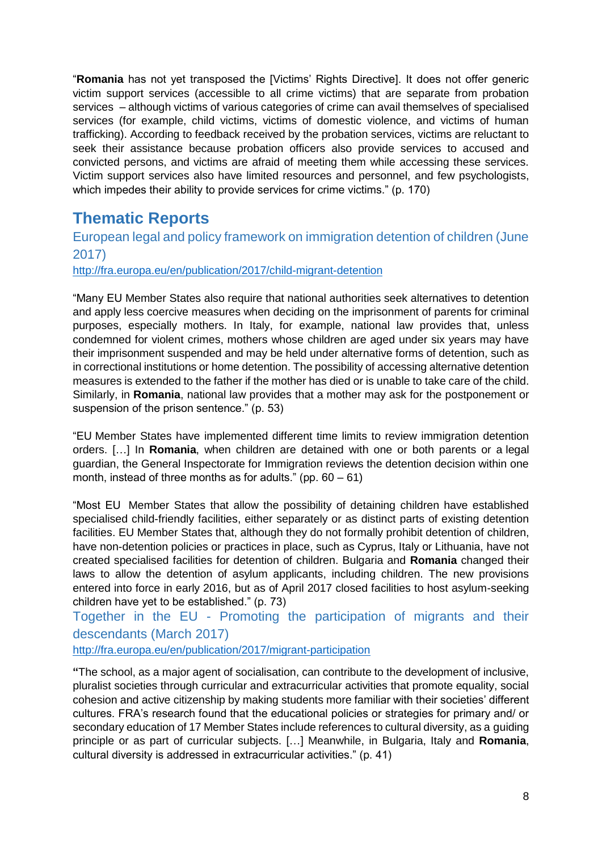"**Romania** has not yet transposed the [Victims' Rights Directive]. It does not offer generic victim support services (accessible to all crime victims) that are separate from probation services – although victims of various categories of crime can avail themselves of specialised services (for example, child victims, victims of domestic violence, and victims of human trafficking). According to feedback received by the probation services, victims are reluctant to seek their assistance because probation officers also provide services to accused and convicted persons, and victims are afraid of meeting them while accessing these services. Victim support services also have limited resources and personnel, and few psychologists, which impedes their ability to provide services for crime victims." (p. 170)

## <span id="page-7-0"></span>**Thematic Reports**

<span id="page-7-1"></span>European legal and policy framework on immigration detention of children (June 2017)

<http://fra.europa.eu/en/publication/2017/child-migrant-detention>

"Many EU Member States also require that national authorities seek alternatives to detention and apply less coercive measures when deciding on the imprisonment of parents for criminal purposes, especially mothers. In Italy, for example, national law provides that, unless condemned for violent crimes, mothers whose children are aged under six years may have their imprisonment suspended and may be held under alternative forms of detention, such as in correctional institutions or home detention. The possibility of accessing alternative detention measures is extended to the father if the mother has died or is unable to take care of the child. Similarly, in **Romania**, national law provides that a mother may ask for the postponement or suspension of the prison sentence." (p. 53)

"EU Member States have implemented different time limits to review immigration detention orders. […] In **Romania**, when children are detained with one or both parents or a legal guardian, the General Inspectorate for Immigration reviews the detention decision within one month, instead of three months as for adults." (pp.  $60 - 61$ )

"Most EU Member States that allow the possibility of detaining children have established specialised child-friendly facilities, either separately or as distinct parts of existing detention facilities. EU Member States that, although they do not formally prohibit detention of children, have non-detention policies or practices in place, such as Cyprus, Italy or Lithuania, have not created specialised facilities for detention of children. Bulgaria and **Romania** changed their laws to allow the detention of asylum applicants, including children. The new provisions entered into force in early 2016, but as of April 2017 closed facilities to host asylum-seeking children have yet to be established." (p. 73)

<span id="page-7-2"></span>Together in the EU - Promoting the participation of migrants and their descendants (March 2017)

<http://fra.europa.eu/en/publication/2017/migrant-participation>

**"**The school, as a major agent of socialisation, can contribute to the development of inclusive, pluralist societies through curricular and extracurricular activities that promote equality, social cohesion and active citizenship by making students more familiar with their societies' different cultures. FRA's research found that the educational policies or strategies for primary and/ or secondary education of 17 Member States include references to cultural diversity, as a guiding principle or as part of curricular subjects. […] Meanwhile, in Bulgaria, Italy and **Romania**, cultural diversity is addressed in extracurricular activities." (p. 41)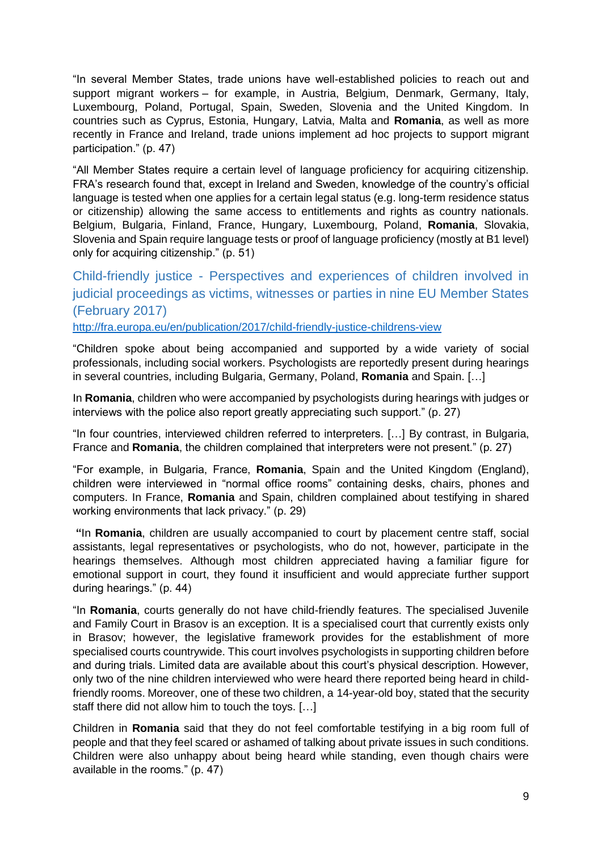"In several Member States, trade unions have well-established policies to reach out and support migrant workers – for example, in Austria, Belgium, Denmark, Germany, Italy, Luxembourg, Poland, Portugal, Spain, Sweden, Slovenia and the United Kingdom. In countries such as Cyprus, Estonia, Hungary, Latvia, Malta and **Romania**, as well as more recently in France and Ireland, trade unions implement ad hoc projects to support migrant participation." (p. 47)

"All Member States require a certain level of language proficiency for acquiring citizenship. FRA's research found that, except in Ireland and Sweden, knowledge of the country's official language is tested when one applies for a certain legal status (e.g. long-term residence status or citizenship) allowing the same access to entitlements and rights as country nationals. Belgium, Bulgaria, Finland, France, Hungary, Luxembourg, Poland, **Romania**, Slovakia, Slovenia and Spain require language tests or proof of language proficiency (mostly at B1 level) only for acquiring citizenship." (p. 51)

## <span id="page-8-0"></span>Child-friendly justice - Perspectives and experiences of children involved in judicial proceedings as victims, witnesses or parties in nine EU Member States (February 2017)

<http://fra.europa.eu/en/publication/2017/child-friendly-justice-childrens-view>

"Children spoke about being accompanied and supported by a wide variety of social professionals, including social workers. Psychologists are reportedly present during hearings in several countries, including Bulgaria, Germany, Poland, **Romania** and Spain. […]

In **Romania**, children who were accompanied by psychologists during hearings with judges or interviews with the police also report greatly appreciating such support." (p. 27)

"In four countries, interviewed children referred to interpreters. […] By contrast, in Bulgaria, France and **Romania**, the children complained that interpreters were not present." (p. 27)

"For example, in Bulgaria, France, **Romania**, Spain and the United Kingdom (England), children were interviewed in "normal office rooms" containing desks, chairs, phones and computers. In France, **Romania** and Spain, children complained about testifying in shared working environments that lack privacy." (p. 29)

**"**In **Romania**, children are usually accompanied to court by placement centre staff, social assistants, legal representatives or psychologists, who do not, however, participate in the hearings themselves. Although most children appreciated having a familiar figure for emotional support in court, they found it insufficient and would appreciate further support during hearings." (p. 44)

"In **Romania**, courts generally do not have child-friendly features. The specialised Juvenile and Family Court in Brasov is an exception. It is a specialised court that currently exists only in Brasov; however, the legislative framework provides for the establishment of more specialised courts countrywide. This court involves psychologists in supporting children before and during trials. Limited data are available about this court's physical description. However, only two of the nine children interviewed who were heard there reported being heard in childfriendly rooms. Moreover, one of these two children, a 14-year-old boy, stated that the security staff there did not allow him to touch the toys. […]

Children in **Romania** said that they do not feel comfortable testifying in a big room full of people and that they feel scared or ashamed of talking about private issues in such conditions. Children were also unhappy about being heard while standing, even though chairs were available in the rooms." (p. 47)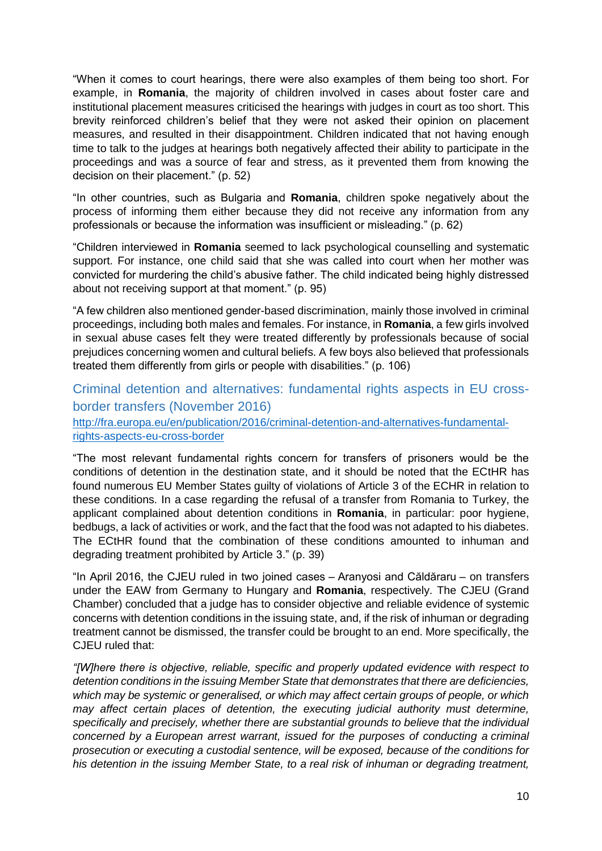"When it comes to court hearings, there were also examples of them being too short. For example, in **Romania**, the majority of children involved in cases about foster care and institutional placement measures criticised the hearings with judges in court as too short. This brevity reinforced children's belief that they were not asked their opinion on placement measures, and resulted in their disappointment. Children indicated that not having enough time to talk to the judges at hearings both negatively affected their ability to participate in the proceedings and was a source of fear and stress, as it prevented them from knowing the decision on their placement." (p. 52)

"In other countries, such as Bulgaria and **Romania**, children spoke negatively about the process of informing them either because they did not receive any information from any professionals or because the information was insufficient or misleading." (p. 62)

"Children interviewed in **Romania** seemed to lack psychological counselling and systematic support. For instance, one child said that she was called into court when her mother was convicted for murdering the child's abusive father. The child indicated being highly distressed about not receiving support at that moment." (p. 95)

"A few children also mentioned gender-based discrimination, mainly those involved in criminal proceedings, including both males and females. For instance, in **Romania**, a few girls involved in sexual abuse cases felt they were treated differently by professionals because of social prejudices concerning women and cultural beliefs. A few boys also believed that professionals treated them differently from girls or people with disabilities." (p. 106)

<span id="page-9-0"></span>Criminal detention and alternatives: fundamental rights aspects in EU crossborder transfers (November 2016) [http://fra.europa.eu/en/publication/2016/criminal-detention-and-alternatives-fundamental-](http://fra.europa.eu/en/publication/2016/criminal-detention-and-alternatives-fundamental-rights-aspects-eu-cross-border)

[rights-aspects-eu-cross-border](http://fra.europa.eu/en/publication/2016/criminal-detention-and-alternatives-fundamental-rights-aspects-eu-cross-border)

"The most relevant fundamental rights concern for transfers of prisoners would be the conditions of detention in the destination state, and it should be noted that the ECtHR has found numerous EU Member States guilty of violations of Article 3 of the ECHR in relation to these conditions. In a case regarding the refusal of a transfer from Romania to Turkey, the applicant complained about detention conditions in **Romania**, in particular: poor hygiene, bedbugs, a lack of activities or work, and the fact that the food was not adapted to his diabetes. The ECtHR found that the combination of these conditions amounted to inhuman and degrading treatment prohibited by Article 3." (p. 39)

"In April 2016, the CJEU ruled in two joined cases – Aranyosi and Căldăraru – on transfers under the EAW from Germany to Hungary and **Romania**, respectively. The CJEU (Grand Chamber) concluded that a judge has to consider objective and reliable evidence of systemic concerns with detention conditions in the issuing state, and, if the risk of inhuman or degrading treatment cannot be dismissed, the transfer could be brought to an end. More specifically, the CJEU ruled that:

*"[W]here there is objective, reliable, specific and properly updated evidence with respect to detention conditions in the issuing Member State that demonstrates that there are deficiencies, which may be systemic or generalised, or which may affect certain groups of people, or which may affect certain places of detention, the executing judicial authority must determine, specifically and precisely, whether there are substantial grounds to believe that the individual concerned by a European arrest warrant, issued for the purposes of conducting a criminal prosecution or executing a custodial sentence, will be exposed, because of the conditions for his detention in the issuing Member State, to a real risk of inhuman or degrading treatment,*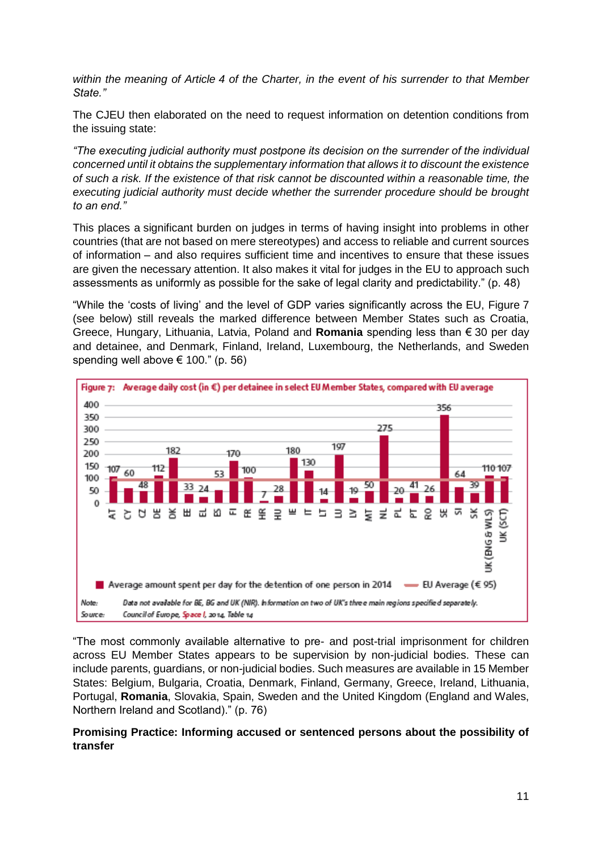*within the meaning of Article 4 of the Charter, in the event of his surrender to that Member State."* 

The CJEU then elaborated on the need to request information on detention conditions from the issuing state:

*"The executing judicial authority must postpone its decision on the surrender of the individual concerned until it obtains the supplementary information that allows it to discount the existence of such a risk. If the existence of that risk cannot be discounted within a reasonable time, the executing judicial authority must decide whether the surrender procedure should be brought to an end."* 

This places a significant burden on judges in terms of having insight into problems in other countries (that are not based on mere stereotypes) and access to reliable and current sources of information – and also requires sufficient time and incentives to ensure that these issues are given the necessary attention. It also makes it vital for judges in the EU to approach such assessments as uniformly as possible for the sake of legal clarity and predictability." (p. 48)

"While the 'costs of living' and the level of GDP varies significantly across the EU, Figure 7 (see below) still reveals the marked difference between Member States such as Croatia, Greece, Hungary, Lithuania, Latvia, Poland and **Romania** spending less than € 30 per day and detainee, and Denmark, Finland, Ireland, Luxembourg, the Netherlands, and Sweden spending well above  $\in$  100." (p. 56)



"The most commonly available alternative to pre- and post-trial imprisonment for children across EU Member States appears to be supervision by non-judicial bodies. These can include parents, guardians, or non-judicial bodies. Such measures are available in 15 Member States: Belgium, Bulgaria, Croatia, Denmark, Finland, Germany, Greece, Ireland, Lithuania, Portugal, **Romania**, Slovakia, Spain, Sweden and the United Kingdom (England and Wales, Northern Ireland and Scotland)." (p. 76)

#### **Promising Practice: Informing accused or sentenced persons about the possibility of transfer**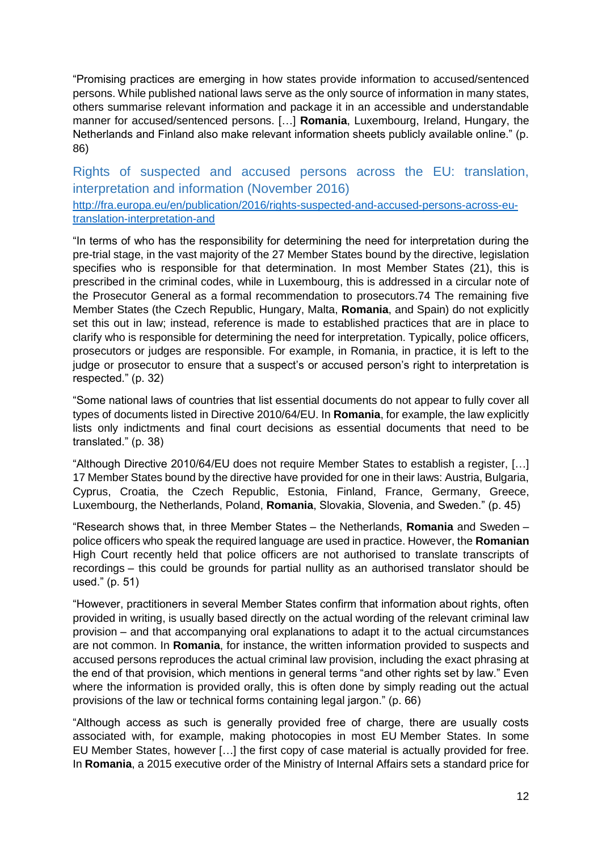"Promising practices are emerging in how states provide information to accused/sentenced persons. While published national laws serve as the only source of information in many states, others summarise relevant information and package it in an accessible and understandable manner for accused/sentenced persons. […] **Romania**, Luxembourg, Ireland, Hungary, the Netherlands and Finland also make relevant information sheets publicly available online." (p. 86)

<span id="page-11-0"></span>Rights of suspected and accused persons across the EU: translation, interpretation and information (November 2016)

[http://fra.europa.eu/en/publication/2016/rights-suspected-and-accused-persons-across-eu](http://fra.europa.eu/en/publication/2016/rights-suspected-and-accused-persons-across-eu-translation-interpretation-and)[translation-interpretation-and](http://fra.europa.eu/en/publication/2016/rights-suspected-and-accused-persons-across-eu-translation-interpretation-and)

"In terms of who has the responsibility for determining the need for interpretation during the pre-trial stage, in the vast majority of the 27 Member States bound by the directive, legislation specifies who is responsible for that determination. In most Member States (21), this is prescribed in the criminal codes, while in Luxembourg, this is addressed in a circular note of the Prosecutor General as a formal recommendation to prosecutors.74 The remaining five Member States (the Czech Republic, Hungary, Malta, **Romania**, and Spain) do not explicitly set this out in law; instead, reference is made to established practices that are in place to clarify who is responsible for determining the need for interpretation. Typically, police officers, prosecutors or judges are responsible. For example, in Romania, in practice, it is left to the judge or prosecutor to ensure that a suspect's or accused person's right to interpretation is respected." (p. 32)

"Some national laws of countries that list essential documents do not appear to fully cover all types of documents listed in Directive 2010/64/EU. In **Romania**, for example, the law explicitly lists only indictments and final court decisions as essential documents that need to be translated." (p. 38)

"Although Directive 2010/64/EU does not require Member States to establish a register, […] 17 Member States bound by the directive have provided for one in their laws: Austria, Bulgaria, Cyprus, Croatia, the Czech Republic, Estonia, Finland, France, Germany, Greece, Luxembourg, the Netherlands, Poland, **Romania**, Slovakia, Slovenia, and Sweden." (p. 45)

"Research shows that, in three Member States – the Netherlands, **Romania** and Sweden – police officers who speak the required language are used in practice. However, the **Romanian** High Court recently held that police officers are not authorised to translate transcripts of recordings – this could be grounds for partial nullity as an authorised translator should be used." (p. 51)

"However, practitioners in several Member States confirm that information about rights, often provided in writing, is usually based directly on the actual wording of the relevant criminal law provision – and that accompanying oral explanations to adapt it to the actual circumstances are not common. In **Romania**, for instance, the written information provided to suspects and accused persons reproduces the actual criminal law provision, including the exact phrasing at the end of that provision, which mentions in general terms "and other rights set by law." Even where the information is provided orally, this is often done by simply reading out the actual provisions of the law or technical forms containing legal jargon." (p. 66)

"Although access as such is generally provided free of charge, there are usually costs associated with, for example, making photocopies in most EU Member States. In some EU Member States, however […] the first copy of case material is actually provided for free. In **Romania**, a 2015 executive order of the Ministry of Internal Affairs sets a standard price for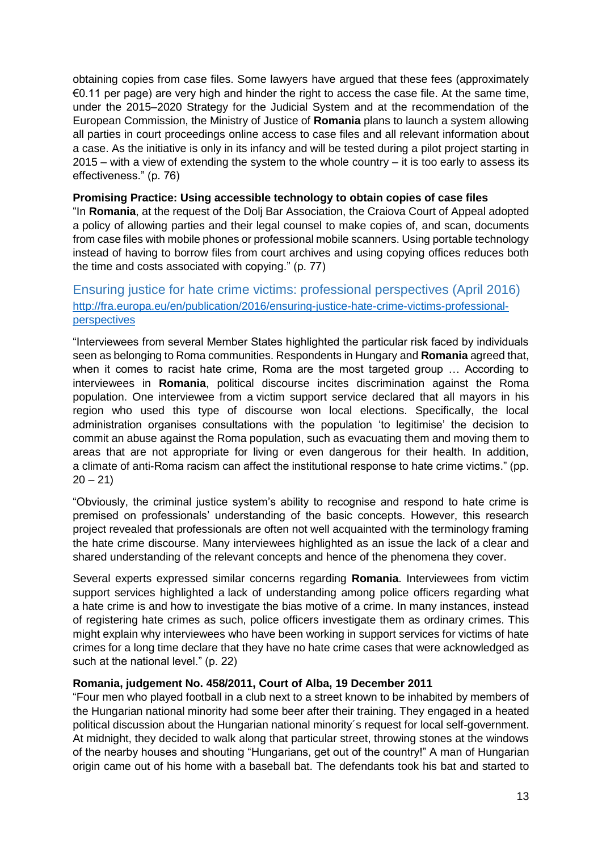obtaining copies from case files. Some lawyers have argued that these fees (approximately €0.11 per page) are very high and hinder the right to access the case file. At the same time, under the 2015–2020 Strategy for the Judicial System and at the recommendation of the European Commission, the Ministry of Justice of **Romania** plans to launch a system allowing all parties in court proceedings online access to case files and all relevant information about a case. As the initiative is only in its infancy and will be tested during a pilot project starting in 2015 – with a view of extending the system to the whole country – it is too early to assess its effectiveness." (p. 76)

#### **Promising Practice: Using accessible technology to obtain copies of case files**

"In **Romania**, at the request of the Dolj Bar Association, the Craiova Court of Appeal adopted a policy of allowing parties and their legal counsel to make copies of, and scan, documents from case files with mobile phones or professional mobile scanners. Using portable technology instead of having to borrow files from court archives and using copying offices reduces both the time and costs associated with copying." (p. 77)

#### <span id="page-12-0"></span>Ensuring justice for hate crime victims: professional perspectives (April 2016) [http://fra.europa.eu/en/publication/2016/ensuring-justice-hate-crime-victims-professional](http://fra.europa.eu/en/publication/2016/ensuring-justice-hate-crime-victims-professional-perspectives)[perspectives](http://fra.europa.eu/en/publication/2016/ensuring-justice-hate-crime-victims-professional-perspectives)

"Interviewees from several Member States highlighted the particular risk faced by individuals seen as belonging to Roma communities. Respondents in Hungary and **Romania** agreed that, when it comes to racist hate crime, Roma are the most targeted group … According to interviewees in **Romania**, political discourse incites discrimination against the Roma population. One interviewee from a victim support service declared that all mayors in his region who used this type of discourse won local elections. Specifically, the local administration organises consultations with the population 'to legitimise' the decision to commit an abuse against the Roma population, such as evacuating them and moving them to areas that are not appropriate for living or even dangerous for their health. In addition, a climate of anti-Roma racism can affect the institutional response to hate crime victims." (pp.  $20 - 21$ 

"Obviously, the criminal justice system's ability to recognise and respond to hate crime is premised on professionals' understanding of the basic concepts. However, this research project revealed that professionals are often not well acquainted with the terminology framing the hate crime discourse. Many interviewees highlighted as an issue the lack of a clear and shared understanding of the relevant concepts and hence of the phenomena they cover.

Several experts expressed similar concerns regarding **Romania**. Interviewees from victim support services highlighted a lack of understanding among police officers regarding what a hate crime is and how to investigate the bias motive of a crime. In many instances, instead of registering hate crimes as such, police officers investigate them as ordinary crimes. This might explain why interviewees who have been working in support services for victims of hate crimes for a long time declare that they have no hate crime cases that were acknowledged as such at the national level." (p. 22)

#### **Romania, judgement No. 458/2011, Court of Alba, 19 December 2011**

"Four men who played football in a club next to a street known to be inhabited by members of the Hungarian national minority had some beer after their training. They engaged in a heated political discussion about the Hungarian national minority´s request for local self-government. At midnight, they decided to walk along that particular street, throwing stones at the windows of the nearby houses and shouting "Hungarians, get out of the country!" A man of Hungarian origin came out of his home with a baseball bat. The defendants took his bat and started to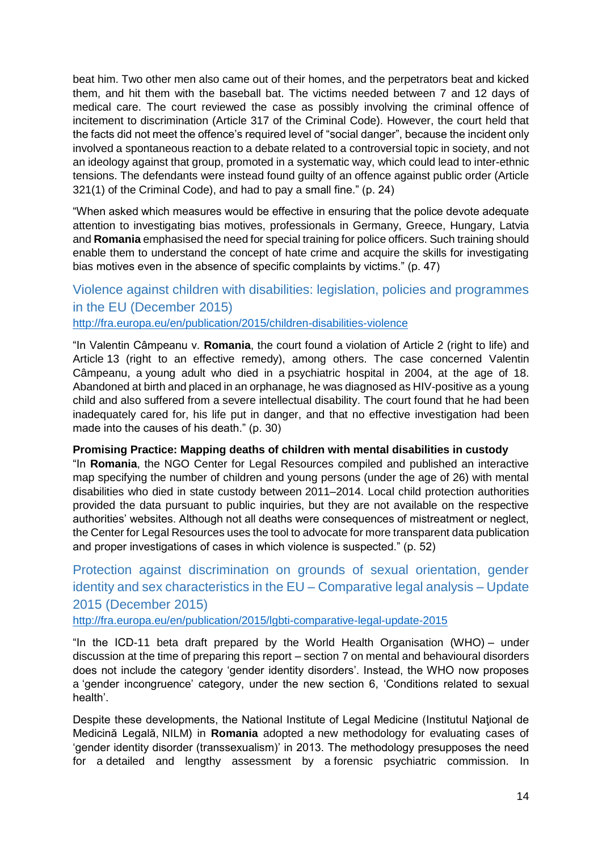beat him. Two other men also came out of their homes, and the perpetrators beat and kicked them, and hit them with the baseball bat. The victims needed between 7 and 12 days of medical care. The court reviewed the case as possibly involving the criminal offence of incitement to discrimination (Article 317 of the Criminal Code). However, the court held that the facts did not meet the offence's required level of "social danger", because the incident only involved a spontaneous reaction to a debate related to a controversial topic in society, and not an ideology against that group, promoted in a systematic way, which could lead to inter-ethnic tensions. The defendants were instead found guilty of an offence against public order (Article 321(1) of the Criminal Code), and had to pay a small fine." (p. 24)

"When asked which measures would be effective in ensuring that the police devote adequate attention to investigating bias motives, professionals in Germany, Greece, Hungary, Latvia and **Romania** emphasised the need for special training for police officers. Such training should enable them to understand the concept of hate crime and acquire the skills for investigating bias motives even in the absence of specific complaints by victims." (p. 47)

#### <span id="page-13-0"></span>Violence against children with disabilities: legislation, policies and programmes in the EU (December 2015) <http://fra.europa.eu/en/publication/2015/children-disabilities-violence>

"In Valentin Câmpeanu v. **Romania**, the court found a violation of Article 2 (right to life) and Article 13 (right to an effective remedy), among others. The case concerned Valentin Câmpeanu, a young adult who died in a psychiatric hospital in 2004, at the age of 18. Abandoned at birth and placed in an orphanage, he was diagnosed as HIV-positive as a young child and also suffered from a severe intellectual disability. The court found that he had been inadequately cared for, his life put in danger, and that no effective investigation had been made into the causes of his death." (p. 30)

#### **Promising Practice: Mapping deaths of children with mental disabilities in custody**

"In **Romania**, the NGO Center for Legal Resources compiled and published an interactive map specifying the number of children and young persons (under the age of 26) with mental disabilities who died in state custody between 2011–2014. Local child protection authorities provided the data pursuant to public inquiries, but they are not available on the respective authorities' websites. Although not all deaths were consequences of mistreatment or neglect, the Center for Legal Resources uses the tool to advocate for more transparent data publication and proper investigations of cases in which violence is suspected." (p. 52)

## <span id="page-13-1"></span>Protection against discrimination on grounds of sexual orientation, gender identity and sex characteristics in the EU – Comparative legal analysis – Update 2015 (December 2015)

<http://fra.europa.eu/en/publication/2015/lgbti-comparative-legal-update-2015>

"In the ICD-11 beta draft prepared by the World Health Organisation (WHO) – under discussion at the time of preparing this report – section 7 on mental and behavioural disorders does not include the category 'gender identity disorders'. Instead, the WHO now proposes a 'gender incongruence' category, under the new section 6, 'Conditions related to sexual health'.

Despite these developments, the National Institute of Legal Medicine (Institutul Naţional de Medicină Legală, NILM) in **Romania** adopted a new methodology for evaluating cases of 'gender identity disorder (transsexualism)' in 2013. The methodology presupposes the need for a detailed and lengthy assessment by a forensic psychiatric commission. In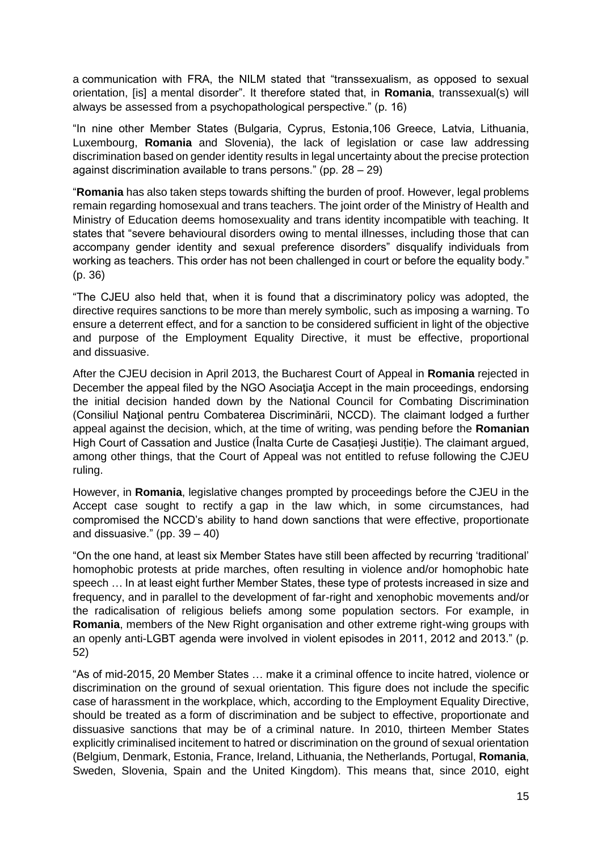a communication with FRA, the NILM stated that "transsexualism, as opposed to sexual orientation, [is] a mental disorder". It therefore stated that, in **Romania**, transsexual(s) will always be assessed from a psychopathological perspective." (p. 16)

"In nine other Member States (Bulgaria, Cyprus, Estonia,106 Greece, Latvia, Lithuania, Luxembourg, **Romania** and Slovenia), the lack of legislation or case law addressing discrimination based on gender identity results in legal uncertainty about the precise protection against discrimination available to trans persons." (pp. 28 – 29)

"**Romania** has also taken steps towards shifting the burden of proof. However, legal problems remain regarding homosexual and trans teachers. The joint order of the Ministry of Health and Ministry of Education deems homosexuality and trans identity incompatible with teaching. It states that "severe behavioural disorders owing to mental illnesses, including those that can accompany gender identity and sexual preference disorders" disqualify individuals from working as teachers. This order has not been challenged in court or before the equality body." (p. 36)

"The CJEU also held that, when it is found that a discriminatory policy was adopted, the directive requires sanctions to be more than merely symbolic, such as imposing a warning. To ensure a deterrent effect, and for a sanction to be considered sufficient in light of the objective and purpose of the Employment Equality Directive, it must be effective, proportional and dissuasive.

After the CJEU decision in April 2013, the Bucharest Court of Appeal in **Romania** rejected in December the appeal filed by the NGO Asociaţia Accept in the main proceedings, endorsing the initial decision handed down by the National Council for Combating Discrimination (Consiliul Naţional pentru Combaterea Discriminării, NCCD). The claimant lodged a further appeal against the decision, which, at the time of writing, was pending before the **Romanian** High Court of Cassation and Justice (Înalta Curte de Casațieşi Justiție). The claimant argued, among other things, that the Court of Appeal was not entitled to refuse following the CJEU ruling.

However, in **Romania**, legislative changes prompted by proceedings before the CJEU in the Accept case sought to rectify a gap in the law which, in some circumstances, had compromised the NCCD's ability to hand down sanctions that were effective, proportionate and dissuasive." (pp.  $39 - 40$ )

"On the one hand, at least six Member States have still been affected by recurring 'traditional' homophobic protests at pride marches, often resulting in violence and/or homophobic hate speech … In at least eight further Member States, these type of protests increased in size and frequency, and in parallel to the development of far-right and xenophobic movements and/or the radicalisation of religious beliefs among some population sectors. For example, in **Romania**, members of the New Right organisation and other extreme right-wing groups with an openly anti-LGBT agenda were involved in violent episodes in 2011, 2012 and 2013." (p. 52)

"As of mid-2015, 20 Member States … make it a criminal offence to incite hatred, violence or discrimination on the ground of sexual orientation. This figure does not include the specific case of harassment in the workplace, which, according to the Employment Equality Directive, should be treated as a form of discrimination and be subject to effective, proportionate and dissuasive sanctions that may be of a criminal nature. In 2010, thirteen Member States explicitly criminalised incitement to hatred or discrimination on the ground of sexual orientation (Belgium, Denmark, Estonia, France, Ireland, Lithuania, the Netherlands, Portugal, **Romania**, Sweden, Slovenia, Spain and the United Kingdom). This means that, since 2010, eight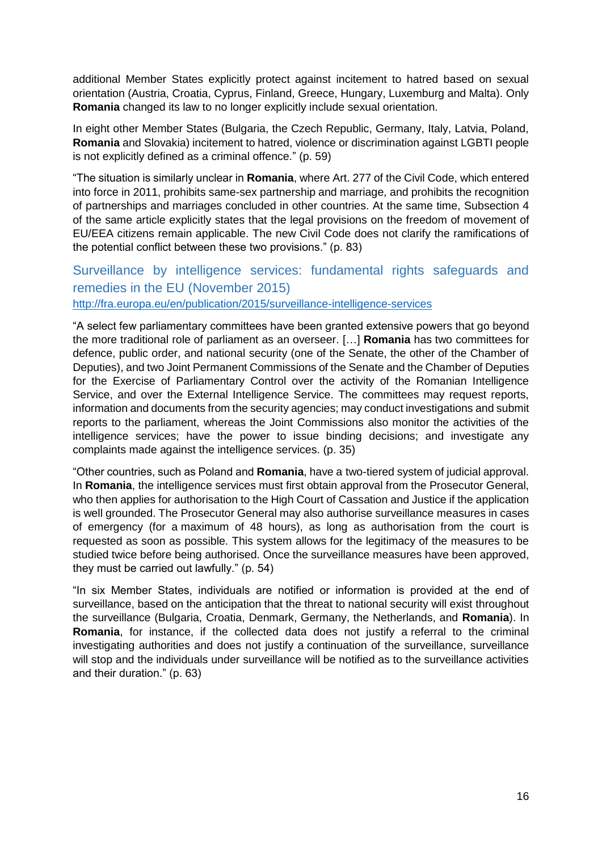additional Member States explicitly protect against incitement to hatred based on sexual orientation (Austria, Croatia, Cyprus, Finland, Greece, Hungary, Luxemburg and Malta). Only **Romania** changed its law to no longer explicitly include sexual orientation.

In eight other Member States (Bulgaria, the Czech Republic, Germany, Italy, Latvia, Poland, **Romania** and Slovakia) incitement to hatred, violence or discrimination against LGBTI people is not explicitly defined as a criminal offence." (p. 59)

"The situation is similarly unclear in **Romania**, where Art. 277 of the Civil Code, which entered into force in 2011, prohibits same-sex partnership and marriage, and prohibits the recognition of partnerships and marriages concluded in other countries. At the same time, Subsection 4 of the same article explicitly states that the legal provisions on the freedom of movement of EU/EEA citizens remain applicable. The new Civil Code does not clarify the ramifications of the potential conflict between these two provisions." (p. 83)

#### <span id="page-15-0"></span>Surveillance by intelligence services: fundamental rights safeguards and remedies in the EU (November 2015) <http://fra.europa.eu/en/publication/2015/surveillance-intelligence-services>

"A select few parliamentary committees have been granted extensive powers that go beyond the more traditional role of parliament as an overseer. […] **Romania** has two committees for defence, public order, and national security (one of the Senate, the other of the Chamber of Deputies), and two Joint Permanent Commissions of the Senate and the Chamber of Deputies for the Exercise of Parliamentary Control over the activity of the Romanian Intelligence Service, and over the External Intelligence Service. The committees may request reports, information and documents from the security agencies; may conduct investigations and submit reports to the parliament, whereas the Joint Commissions also monitor the activities of the intelligence services; have the power to issue binding decisions; and investigate any complaints made against the intelligence services. (p. 35)

"Other countries, such as Poland and **Romania**, have a two-tiered system of judicial approval. In **Romania**, the intelligence services must first obtain approval from the Prosecutor General, who then applies for authorisation to the High Court of Cassation and Justice if the application is well grounded. The Prosecutor General may also authorise surveillance measures in cases of emergency (for a maximum of 48 hours), as long as authorisation from the court is requested as soon as possible. This system allows for the legitimacy of the measures to be studied twice before being authorised. Once the surveillance measures have been approved, they must be carried out lawfully." (p. 54)

"In six Member States, individuals are notified or information is provided at the end of surveillance, based on the anticipation that the threat to national security will exist throughout the surveillance (Bulgaria, Croatia, Denmark, Germany, the Netherlands, and **Romania**). In **Romania**, for instance, if the collected data does not justify a referral to the criminal investigating authorities and does not justify a continuation of the surveillance, surveillance will stop and the individuals under surveillance will be notified as to the surveillance activities and their duration." (p. 63)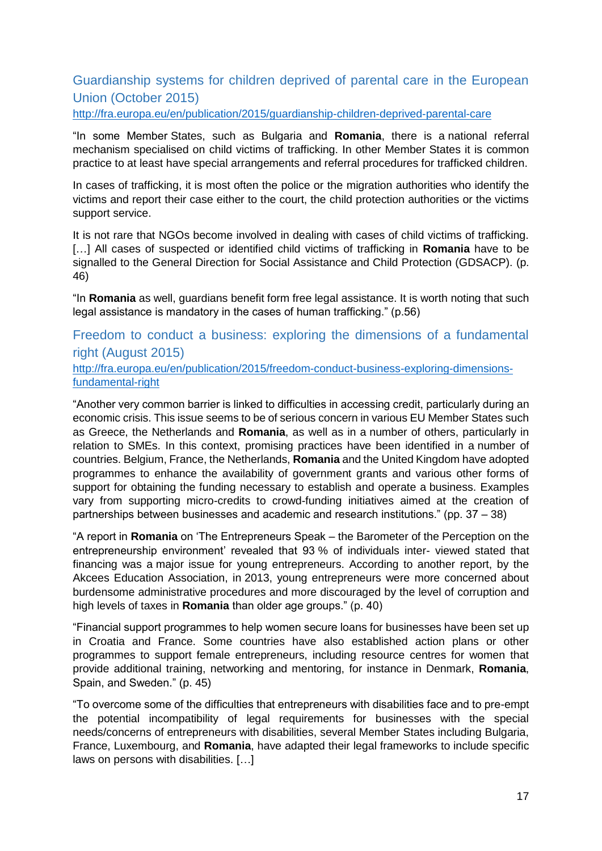### <span id="page-16-0"></span>Guardianship systems for children deprived of parental care in the European Union (October 2015)

<http://fra.europa.eu/en/publication/2015/guardianship-children-deprived-parental-care>

"In some Member States, such as Bulgaria and **Romania**, there is a national referral mechanism specialised on child victims of trafficking. In other Member States it is common practice to at least have special arrangements and referral procedures for trafficked children.

In cases of trafficking, it is most often the police or the migration authorities who identify the victims and report their case either to the court, the child protection authorities or the victims support service.

It is not rare that NGOs become involved in dealing with cases of child victims of trafficking. [...] All cases of suspected or identified child victims of trafficking in **Romania** have to be signalled to the General Direction for Social Assistance and Child Protection (GDSACP). (p. 46)

"In **Romania** as well, guardians benefit form free legal assistance. It is worth noting that such legal assistance is mandatory in the cases of human trafficking." (p.56)

<span id="page-16-1"></span>Freedom to conduct a business: exploring the dimensions of a fundamental right (August 2015)

[http://fra.europa.eu/en/publication/2015/freedom-conduct-business-exploring-dimensions](http://fra.europa.eu/en/publication/2015/freedom-conduct-business-exploring-dimensions-fundamental-right)[fundamental-right](http://fra.europa.eu/en/publication/2015/freedom-conduct-business-exploring-dimensions-fundamental-right)

"Another very common barrier is linked to difficulties in accessing credit, particularly during an economic crisis. This issue seems to be of serious concern in various EU Member States such as Greece, the Netherlands and **Romania**, as well as in a number of others, particularly in relation to SMEs. In this context, promising practices have been identified in a number of countries. Belgium, France, the Netherlands, **Romania** and the United Kingdom have adopted programmes to enhance the availability of government grants and various other forms of support for obtaining the funding necessary to establish and operate a business. Examples vary from supporting micro-credits to crowd-funding initiatives aimed at the creation of partnerships between businesses and academic and research institutions." (pp. 37 – 38)

"A report in **Romania** on 'The Entrepreneurs Speak – the Barometer of the Perception on the entrepreneurship environment' revealed that 93 % of individuals inter- viewed stated that financing was a major issue for young entrepreneurs. According to another report, by the Akcees Education Association, in 2013, young entrepreneurs were more concerned about burdensome administrative procedures and more discouraged by the level of corruption and high levels of taxes in **Romania** than older age groups." (p. 40)

"Financial support programmes to help women secure loans for businesses have been set up in Croatia and France. Some countries have also established action plans or other programmes to support female entrepreneurs, including resource centres for women that provide additional training, networking and mentoring, for instance in Denmark, **Romania**, Spain, and Sweden." (p. 45)

"To overcome some of the difficulties that entrepreneurs with disabilities face and to pre-empt the potential incompatibility of legal requirements for businesses with the special needs/concerns of entrepreneurs with disabilities, several Member States including Bulgaria, France, Luxembourg, and **Romania**, have adapted their legal frameworks to include specific laws on persons with disabilities. […]